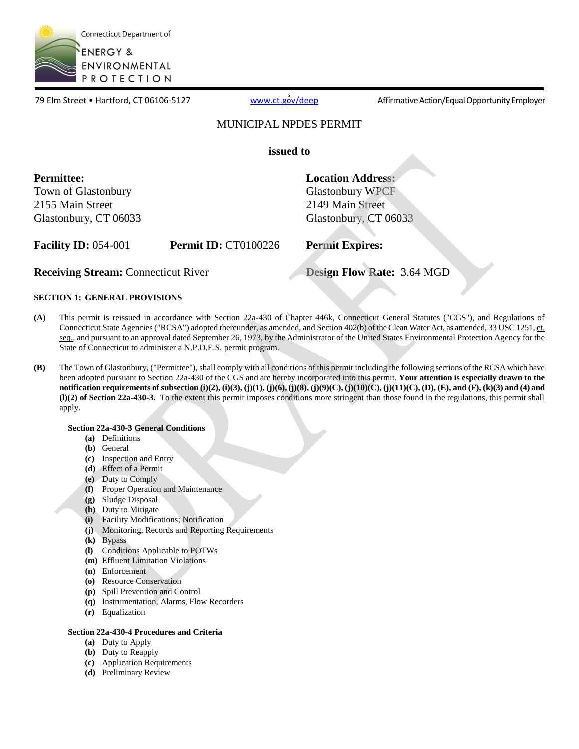

**5**<br>19 Elm Street • Hartford, CT 06106-5127 [www.ct.gov/deep](http://www.ct.gov/deep) Affirmative Action/Equal Opportunity Employer

### MUNICIPAL NPDES PERMIT

**issued to** 

**Permittee:**  Town of Glastonbury 2155 Main Street Glastonbury, CT 06033 **Location Address:**  Glastonbury WPCF 2149 Main Street Glastonbury, CT 06033

**Facility ID:** 054-001 **Permit ID:** CT0100226 **Permit Expires:** 

**Receiving Stream:** Connecticut River **Design Flow Rate:** 3.64 MGD

### **SECTION 1: GENERAL PROVISIONS**

- **(A)** This permit is reissued in accordance with Section 22a-430 of Chapter 446k, Connecticut General Statutes ("CGS"), and Regulations of Connecticut State Agencies ("RCSA") adopted thereunder, as amended, and Section 402(b) of the Clean Water Act, as amended, 33 USC 1251, et. seq., and pursuant to an approval dated September 26, 1973, by the Administrator of the United States Environmental Protection Agency for the State of Connecticut to administer a N.P.D.E.S. permit program.
- **(B)** The Town of Glastonbury, ("Permittee"), shall comply with all conditions of this permit including the following sections of the RCSA which have been adopted pursuant to Section 22a-430 of the CGS and are hereby incorporated into this permit. **Your attention is especially drawn to the notification requirements of subsection (i)(2), (i)(3), (j)(1), (j)(6), (j)(8), (j)(9)(C), (j)(10)(C), (j)(11)(C), (D), (E), and (F), (k)(3) and (4) and (l)(2) of Section 22a-430-3.** To the extent this permit imposes conditions more stringent than those found in the regulations, this permit shall apply.

### **Section 22a-430-3 General Conditions**

- **(a)** Definitions
- **(b)** General
- **(c)** Inspection and Entry
- **(d)** Effect of a Permit
- **(e)** Duty to Comply
- **(f)** Proper Operation and Maintenance
- **(g)** Sludge Disposal
- **(h)** Duty to Mitigate
- **(i)** Facility Modifications; Notification
- **(j)** Monitoring, Records and Reporting Requirements
- **(k)** Bypass
- **(l)** Conditions Applicable to POTWs
- **(m)** Effluent Limitation Violations
- **(n)** Enforcement
- **(o)** Resource Conservation
- **(p)** Spill Prevention and Control
- **(q)** Instrumentation, Alarms, Flow Recorders
- **(r)** Equalization

### **Section 22a-430-4 Procedures and Criteria**

- **(a)** Duty to Apply
- **(b)** Duty to Reapply
- **(c)** Application Requirements
- **(d)** Preliminary Review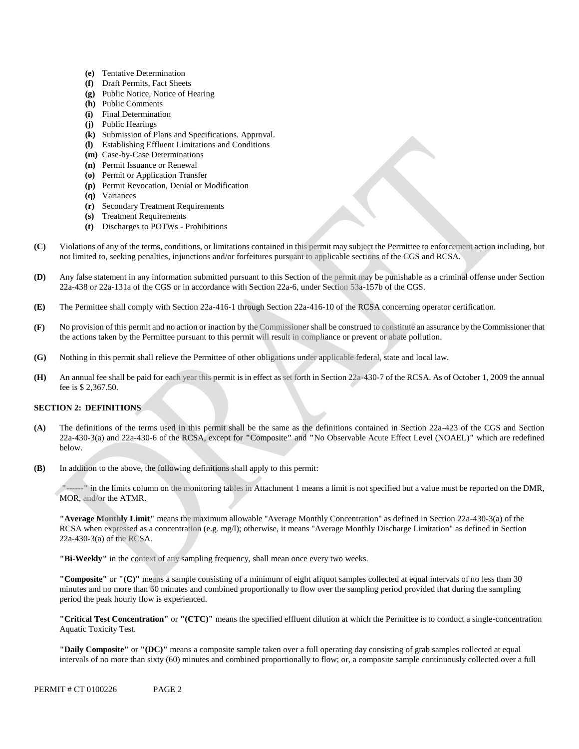- **(e)** Tentative Determination
- **(f)** Draft Permits, Fact Sheets
- **(g)** Public Notice, Notice of Hearing
- **(h)** Public Comments
- **(i)** Final Determination
- **(j)** Public Hearings
- **(k)** Submission of Plans and Specifications. Approval.
- **(l)** Establishing Effluent Limitations and Conditions
- **(m)** Case-by-Case Determinations
- **(n)** Permit Issuance or Renewal
- **(o)** Permit or Application Transfer
- **(p)** Permit Revocation, Denial or Modification
- **(q)** Variances
- **(r)** Secondary Treatment Requirements
- **(s)** Treatment Requirements
- **(t)** Discharges to POTWs Prohibitions
- **(C)** Violations of any of the terms, conditions, or limitations contained in this permit may subject the Permittee to enforcement action including, but not limited to, seeking penalties, injunctions and/or forfeitures pursuant to applicable sections of the CGS and RCSA.
- **(D)** Any false statement in any information submitted pursuant to this Section of the permit may be punishable as a criminal offense under Section 22a-438 or 22a-131a of the CGS or in accordance with Section 22a-6, under Section 53a-157b of the CGS.
- **(E)**  The Permittee shall comply with Section 22a-416-1 through Section 22a-416-10 of the RCSA concerning operator certification.
- **(F)** No provision of this permit and no action or inaction by the Commissioner shall be construed to constitute an assurance by the Commissioner that the actions taken by the Permittee pursuant to this permit will result in compliance or prevent or abate pollution.
- **(G)** Nothing in this permit shall relieve the Permittee of other obligations under applicable federal, state and local law.
- **(H)** An annual fee shall be paid for each year this permit is in effect as set forth in Section 22a-430-7 of the RCSA. As of October 1, 2009 the annual fee is \$ 2,367.50.

### **SECTION 2: DEFINITIONS**

- **(A)** The definitions of the terms used in this permit shall be the same as the definitions contained in Section 22a-423 of the CGS and Section 22a-430-3(a) and 22a-430-6 of the RCSA, except for **"**Composite**"** and **"**No Observable Acute Effect Level (NOAEL)**"** which are redefined below.
- **(B)** In addition to the above, the following definitions shall apply to this permit:

**"------"** in the limits column on the monitoring tables in Attachment 1 means a limit is not specified but a value must be reported on the DMR, MOR, and/or the ATMR.

**"Average Monthly Limit"** means the maximum allowable "Average Monthly Concentration" as defined in Section 22a-430-3(a) of the RCSA when expressed as a concentration (e.g. mg/l); otherwise, it means "Average Monthly Discharge Limitation" as defined in Section 22a-430-3(a) of the RCSA.

**"Bi-Weekly"** in the context of any sampling frequency, shall mean once every two weeks.

**"Composite"** or **"(C)"** means a sample consisting of a minimum of eight aliquot samples collected at equal intervals of no less than 30 minutes and no more than 60 minutes and combined proportionally to flow over the sampling period provided that during the sampling period the peak hourly flow is experienced.

 **"Critical Test Concentration"** or **"(CTC)"** means the specified effluent dilution at which the Permittee is to conduct a single-concentration Aquatic Toxicity Test.

 **"Daily Composite"** or **"(DC)"** means a composite sample taken over a full operating day consisting of grab samples collected at equal intervals of no more than sixty (60) minutes and combined proportionally to flow; or, a composite sample continuously collected over a full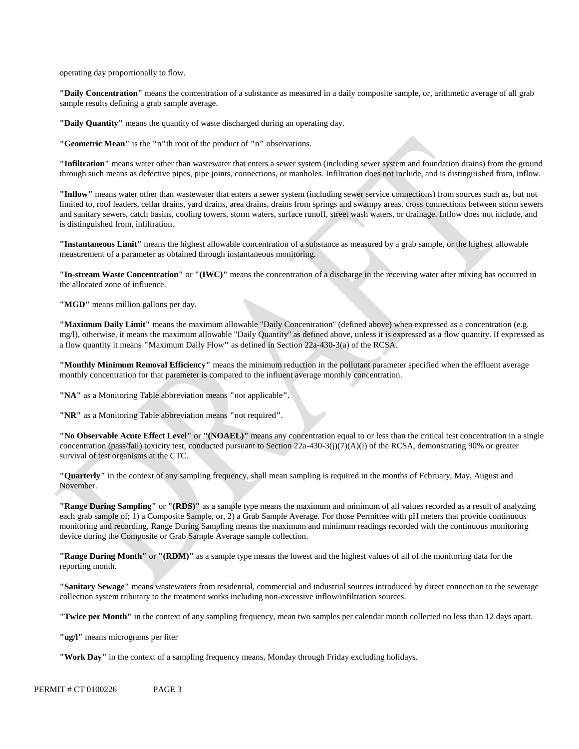operating day proportionally to flow.

 **"Daily Concentration"** means the concentration of a substance as measured in a daily composite sample, or, arithmetic average of all grab sample results defining a grab sample average.

**"Daily Quantity"** means the quantity of waste discharged during an operating day.

**"Geometric Mean"** is the **"**n**"**th root of the product of **"**n**"** observations.

**"Infiltration"** means water other than wastewater that enters a sewer system (including sewer system and foundation drains) from the ground through such means as defective pipes, pipe joints, connections, or manholes. Infiltration does not include, and is distinguished from, inflow.

**"Inflow"** means water other than wastewater that enters a sewer system (including sewer service connections) from sources such as, but not limited to, roof leaders, cellar drains, yard drains, area drains, drains from springs and swampy areas, cross connections between storm sewers and sanitary sewers, catch basins, cooling towers, storm waters, surface runoff, street wash waters, or drainage. Inflow does not include, and is distinguished from, infiltration.

**"Instantaneous Limit"** means the highest allowable concentration of a substance as measured by a grab sample, or the highest allowable measurement of a parameter as obtained through instantaneous monitoring.

**"In-stream Waste Concentration"** or **"(IWC)"** means the concentration of a discharge in the receiving water after mixing has occurred in the allocated zone of influence.

**"MGD"** means million gallons per day.

**"Maximum Daily Limit"** means the maximum allowable "Daily Concentration" (defined above) when expressed as a concentration (e.g. mg/l), otherwise, it means the maximum allowable "Daily Quantity" as defined above, unless it is expressed as a flow quantity. If expressed as a flow quantity it means **"**Maximum Daily Flow**"** as defined in Section 22a-430-3(a) of the RCSA.

**"Monthly Minimum Removal Efficiency"** means the minimum reduction in the pollutant parameter specified when the effluent average monthly concentration for that parameter is compared to the influent average monthly concentration.

**"NA"** as a Monitoring Table abbreviation means **"**not applicable**"**.

**"NR"** as a Monitoring Table abbreviation means **"**not required**"**.

**"No Observable Acute Effect Level"** or **"(NOAEL)"** means any concentration equal to or less than the critical test concentration in a single concentration (pass/fail) toxicity test, conducted pursuant to Section 22a-430-3(j)(7)(A)(i) of the RCSA, demonstrating 90% or greater survival of test organisms at the CTC.

**"Quarterly"** in the context of any sampling frequency, shall mean sampling is required in the months of February, May, August and November.

**"Range During Sampling"** or **"(RDS)"** as a sample type means the maximum and minimum of all values recorded as a result of analyzing each grab sample of; 1) a Composite Sample, or, 2) a Grab Sample Average. For those Permittee with pH meters that provide continuous monitoring and recording, Range During Sampling means the maximum and minimum readings recorded with the continuous monitoring device during the Composite or Grab Sample Average sample collection.

**"Range During Month"** or **"(RDM)"** as a sample type means the lowest and the highest values of all of the monitoring data for the reporting month.

**"Sanitary Sewage"** means wastewaters from residential, commercial and industrial sources introduced by direct connection to the sewerage collection system tributary to the treatment works including non-excessive inflow/infiltration sources.

**"Twice per Month"** in the context of any sampling frequency, mean two samples per calendar month collected no less than 12 days apart.

**"ug/l"** means micrograms per liter

**"Work Day"** in the context of a sampling frequency means, Monday through Friday excluding holidays.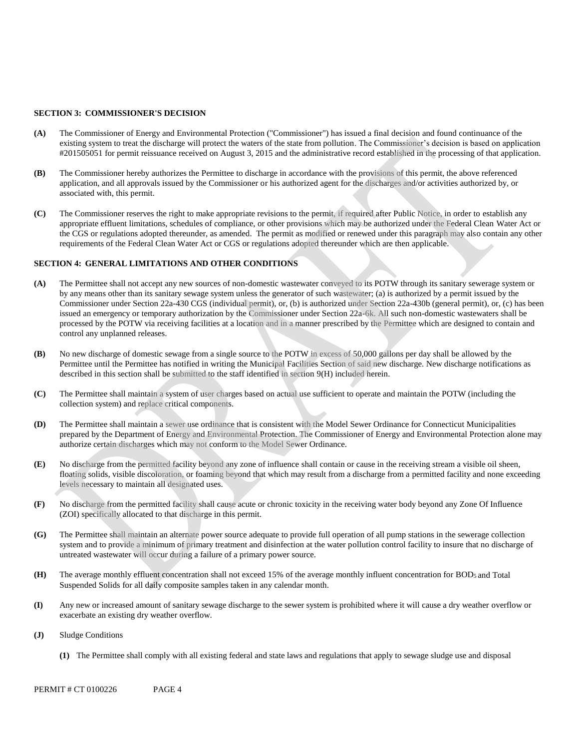#### **SECTION 3: COMMISSIONER'S DECISION**

- **(A)** The Commissioner of Energy and Environmental Protection ("Commissioner") has issued a final decision and found continuance of the existing system to treat the discharge will protect the waters of the state from pollution. The Commissioner's decision is based on application #201505051 for permit reissuance received on August 3, 2015 and the administrative record established in the processing of that application.
- **(B)** The Commissioner hereby authorizes the Permittee to discharge in accordance with the provisions of this permit, the above referenced application, and all approvals issued by the Commissioner or his authorized agent for the discharges and/or activities authorized by, or associated with, this permit.
- **(C)** The Commissioner reserves the right to make appropriate revisions to the permit, if required after Public Notice, in order to establish any appropriate effluent limitations, schedules of compliance, or other provisions which may be authorized under the Federal Clean Water Act or the CGS or regulations adopted thereunder, as amended. The permit as modified or renewed under this paragraph may also contain any other requirements of the Federal Clean Water Act or CGS or regulations adopted thereunder which are then applicable.

#### **SECTION 4: GENERAL LIMITATIONS AND OTHER CONDITIONS**

- **(A)** The Permittee shall not accept any new sources of non-domestic wastewater conveyed to its POTW through its sanitary sewerage system or by any means other than its sanitary sewage system unless the generator of such wastewater; (a) is authorized by a permit issued by the Commissioner under Section 22a-430 CGS (individual permit), or, (b) is authorized under Section 22a-430b (general permit), or, (c) has been issued an emergency or temporary authorization by the Commissioner under Section 22a-6k. All such non-domestic wastewaters shall be processed by the POTW via receiving facilities at a location and in a manner prescribed by the Permittee which are designed to contain and control any unplanned releases.
- **(B)** No new discharge of domestic sewage from a single source to the POTW in excess of 50,000 gallons per day shall be allowed by the Permittee until the Permittee has notified in writing the Municipal Facilities Section of said new discharge. New discharge notifications as described in this section shall be submitted to the staff identified in section 9(H) included herein.
- **(C)** The Permittee shall maintain a system of user charges based on actual use sufficient to operate and maintain the POTW (including the collection system) and replace critical components.
- **(D)** The Permittee shall maintain a sewer use ordinance that is consistent with the Model Sewer Ordinance for Connecticut Municipalities prepared by the Department of Energy and Environmental Protection. The Commissioner of Energy and Environmental Protection alone may authorize certain discharges which may not conform to the Model Sewer Ordinance.
- **(E)** No discharge from the permitted facility beyond any zone of influence shall contain or cause in the receiving stream a visible oil sheen, floating solids, visible discoloration, or foaming beyond that which may result from a discharge from a permitted facility and none exceeding levels necessary to maintain all designated uses.
- **(F)** No discharge from the permitted facility shall cause acute or chronic toxicity in the receiving water body beyond any Zone Of Influence (ZOI) specifically allocated to that discharge in this permit.
- **(G)** The Permittee shall maintain an alternate power source adequate to provide full operation of all pump stations in the sewerage collection system and to provide a minimum of primary treatment and disinfection at the water pollution control facility to insure that no discharge of untreated wastewater will occur during a failure of a primary power source.
- **(H)** The average monthly effluent concentration shall not exceed 15% of the average monthly influent concentration for BOD5 and Total Suspended Solids for all daily composite samples taken in any calendar month.
- **(I)** Any new or increased amount of sanitary sewage discharge to the sewer system is prohibited where it will cause a dry weather overflow or exacerbate an existing dry weather overflow.
- **(J)** Sludge Conditions
	- **(1)** The Permittee shall comply with all existing federal and state laws and regulations that apply to sewage sludge use and disposal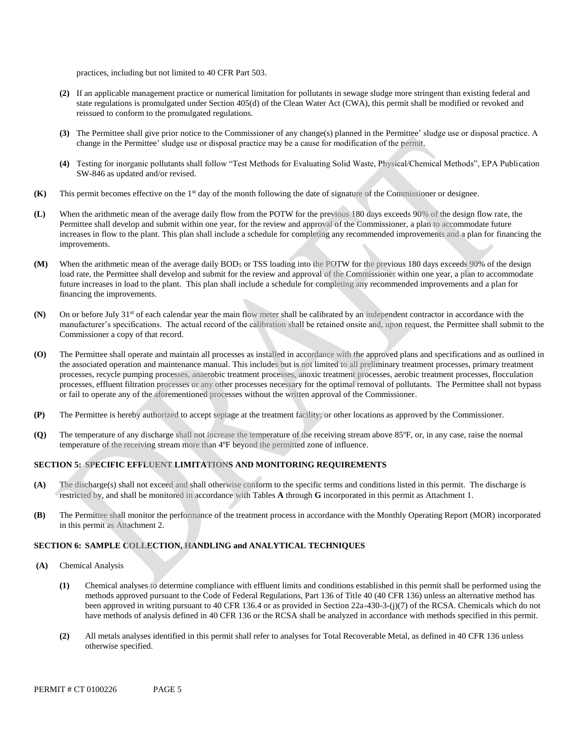practices, including but not limited to 40 CFR Part 503.

- **(2)** If an applicable management practice or numerical limitation for pollutants in sewage sludge more stringent than existing federal and state regulations is promulgated under Section 405(d) of the Clean Water Act (CWA), this permit shall be modified or revoked and reissued to conform to the promulgated regulations.
- **(3)** The Permittee shall give prior notice to the Commissioner of any change(s) planned in the Permittee' sludge use or disposal practice. A change in the Permittee' sludge use or disposal practice may be a cause for modification of the permit.
- **(4)** Testing for inorganic pollutants shall follow "Test Methods for Evaluating Solid Waste, Physical/Chemical Methods", EPA Publication SW-846 as updated and/or revised.
- **(K)** This permit becomes effective on the 1st day of the month following the date of signature of the Commissioner or designee.
- **(L)** When the arithmetic mean of the average daily flow from the POTW for the previous 180 days exceeds 90% of the design flow rate, the Permittee shall develop and submit within one year, for the review and approval of the Commissioner, a plan to accommodate future increases in flow to the plant. This plan shall include a schedule for completing any recommended improvements and a plan for financing the improvements.
- **(M)** When the arithmetic mean of the average daily BOD5 or TSS loading into the POTW for the previous 180 days exceeds 90% of the design load rate, the Permittee shall develop and submit for the review and approval of the Commissioner within one year, a plan to accommodate future increases in load to the plant. This plan shall include a schedule for completing any recommended improvements and a plan for financing the improvements.
- **(N)** On or before July 31<sup>st</sup> of each calendar year the main flow meter shall be calibrated by an independent contractor in accordance with the manufacturer's specifications. The actual record of the calibration shall be retained onsite and, upon request, the Permittee shall submit to the Commissioner a copy of that record.
- **(O)** The Permittee shall operate and maintain all processes as installed in accordance with the approved plans and specifications and as outlined in the associated operation and maintenance manual. This includes but is not limited to all preliminary treatment processes, primary treatment processes, recycle pumping processes, anaerobic treatment processes, anoxic treatment processes, aerobic treatment processes, flocculation processes, effluent filtration processes or any other processes necessary for the optimal removal of pollutants. The Permittee shall not bypass or fail to operate any of the aforementioned processes without the written approval of the Commissioner.
- **(P)** The Permittee is hereby authorized to accept septage at the treatment facility; or other locations as approved by the Commissioner.
- **(Q)** The temperature of any discharge shall not increase the temperature of the receiving stream above 85ºF, or, in any case, raise the normal temperature of the receiving stream more than 4ºF beyond the permitted zone of influence.

### **SECTION 5: SPECIFIC EFFLUENT LIMITATIONS AND MONITORING REQUIREMENTS**

- **(A)** The discharge(s) shall not exceed and shall otherwise conform to the specific terms and conditions listed in this permit. The discharge is restricted by, and shall be monitored in accordance with Tables **A** through **G** incorporated in this permit as Attachment 1.
- **(B)** The Permittee shall monitor the performance of the treatment process in accordance with the Monthly Operating Report (MOR) incorporated in this permit as Attachment 2.

#### **SECTION 6: SAMPLE COLLECTION, HANDLING and ANALYTICAL TECHNIQUES**

- **(A)** Chemical Analysis
	- **(1)** Chemical analyses to determine compliance with effluent limits and conditions established in this permit shall be performed using the methods approved pursuant to the Code of Federal Regulations, Part 136 of Title 40 (40 CFR 136) unless an alternative method has been approved in writing pursuant to 40 CFR 136.4 or as provided in Section 22a-430-3-(j)(7) of the RCSA. Chemicals which do not have methods of analysis defined in 40 CFR 136 or the RCSA shall be analyzed in accordance with methods specified in this permit.
	- $(2)$  otherwise specified. **(2)** All metals analyses identified in this permit shall refer to analyses for Total Recoverable Metal, as defined in 40 CFR 136 unless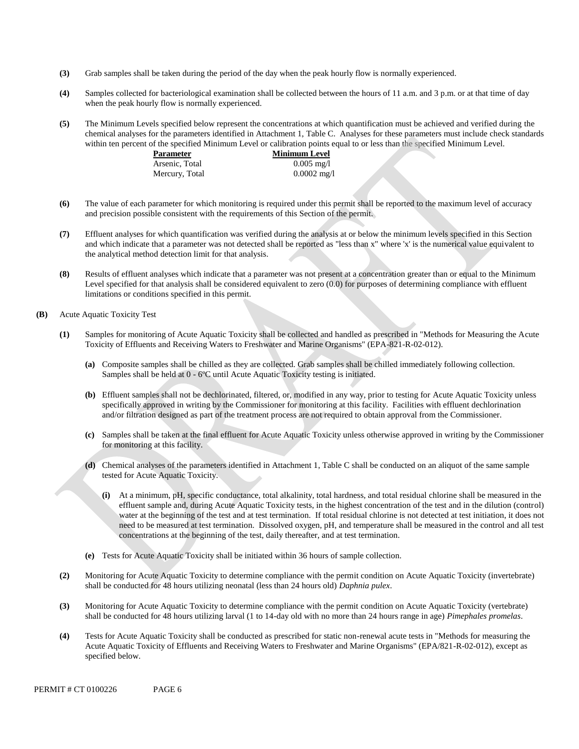- $(3)$ **(3)** Grab samples shall be taken during the period of the day when the peak hourly flow is normally experienced.
- $(4)$  when the peak hourly flow is normally experienced. Samples collected for bacteriological examination shall be collected between the hours of 11 a.m. and 3 p.m. or at that time of day
- **(5)** The Minimum Levels specified below represent the concentrations at which quantification must be achieved and verified during the chemical analyses for the parameters identified in Attachment 1, Table C. Analyses for these parameters must include check standards within ten percent of the specified Minimum Level or calibration points equal to or less than the specified Minimum Level.

| Parameter      | <b>Minimum Level</b>  |
|----------------|-----------------------|
| Arsenic, Total | $0.005 \text{ mg/l}$  |
| Mercury, Total | $0.0002 \text{ mg}/1$ |

- **(6)** The value of each parameter for which monitoring is required under this permit shall be reported to the maximum level of accuracy and precision possible consistent with the requirements of this Section of the permit.
- **(7)** Effluent analyses for which quantification was verified during the analysis at or below the minimum levels specified in this Section and which indicate that a parameter was not detected shall be reported as "less than x" where 'x' is the numerical value equivalent to the analytical method detection limit for that analysis.
- **(8)** Results of effluent analyses which indicate that a parameter was not present at a concentration greater than or equal to the Minimum Level specified for that analysis shall be considered equivalent to zero  $(0.0)$  for purposes of determining compliance with effluent limitations or conditions specified in this permit.
- **(B)** Acute Aquatic Toxicity Test
	- **(1)** Samples for monitoring of Acute Aquatic Toxicity shall be collected and handled as prescribed in "Methods for Measuring the Acute Toxicity of Effluents and Receiving Waters to Freshwater and Marine Organisms" (EPA-821-R-02-012).
		- **(a)** Composite samples shall be chilled as they are collected. Grab samples shall be chilled immediately following collection. Samples shall be held at 0 - 6ºC until Acute Aquatic Toxicity testing is initiated.
		- **(b)** Effluent samples shall not be dechlorinated, filtered, or, modified in any way, prior to testing for Acute Aquatic Toxicity unless specifically approved in writing by the Commissioner for monitoring at this facility. Facilities with effluent dechlorination and/or filtration designed as part of the treatment process are not required to obtain approval from the Commissioner.
		- **(c)** Samples shall be taken at the final effluent for Acute Aquatic Toxicity unless otherwise approved in writing by the Commissioner for monitoring at this facility.
		- **(d)** Chemical analyses of the parameters identified in Attachment 1, Table C shall be conducted on an aliquot of the same sample tested for Acute Aquatic Toxicity.
			- **(i)** At a minimum, pH, specific conductance, total alkalinity, total hardness, and total residual chlorine shall be measured in the effluent sample and, during Acute Aquatic Toxicity tests, in the highest concentration of the test and in the dilution (control) water at the beginning of the test and at test termination. If total residual chlorine is not detected at test initiation, it does not need to be measured at test termination. Dissolved oxygen, pH, and temperature shall be measured in the control and all test concentrations at the beginning of the test, daily thereafter, and at test termination.
		- **(e)** Tests for Acute Aquatic Toxicity shall be initiated within 36 hours of sample collection.
	- **(2)** Monitoring for Acute Aquatic Toxicity to determine compliance with the permit condition on Acute Aquatic Toxicity (invertebrate) shall be conducted for 48 hours utilizing neonatal (less than 24 hours old) *Daphnia pulex*.
	- **(3)** Monitoring for Acute Aquatic Toxicity to determine compliance with the permit condition on Acute Aquatic Toxicity (vertebrate) shall be conducted for 48 hours utilizing larval (1 to 14-day old with no more than 24 hours range in age) *Pimephales promelas*.
	- **(4)** Tests for Acute Aquatic Toxicity shall be conducted as prescribed for static non-renewal acute tests in "Methods for measuring the Acute Aquatic Toxicity of Effluents and Receiving Waters to Freshwater and Marine Organisms" (EPA/821-R-02-012), except as specified below.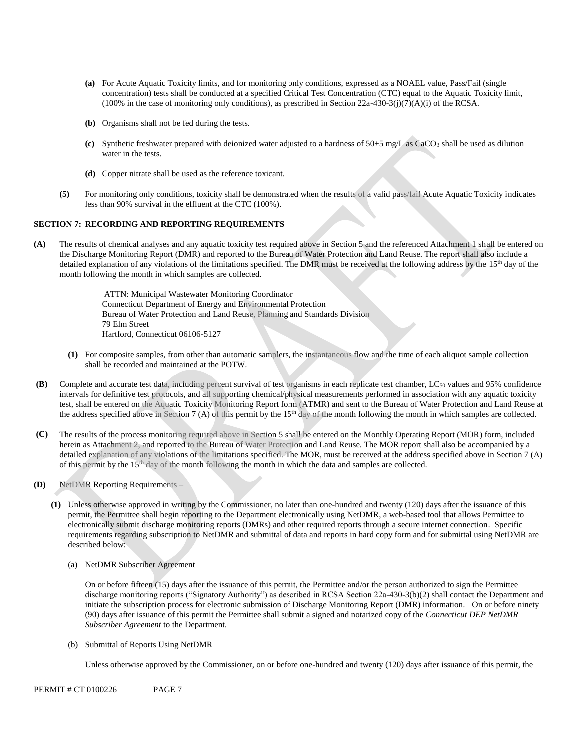- **(a)** For Acute Aquatic Toxicity limits, and for monitoring only conditions, expressed as a NOAEL value, Pass/Fail (single concentration) tests shall be conducted at a specified Critical Test Concentration (CTC) equal to the Aquatic Toxicity limit,  $(100\%$  in the case of monitoring only conditions), as prescribed in Section 22a-430-3(j)(7)(A)(i) of the RCSA.
- **(b)** Organisms shall not be fed during the tests.
- water in the tests. **(c)** Synthetic freshwater prepared with deionized water adjusted to a hardness of 50±5 mg/L as CaCO3 shall be used as dilution
- **(d)** Copper nitrate shall be used as the reference toxicant.
- **(5)** For monitoring only conditions, toxicity shall be demonstrated when the results of a valid pass/fail Acute Aquatic Toxicity indicates less than 90% survival in the effluent at the CTC (100%).

#### **SECTION 7: RECORDING AND REPORTING REQUIREMENTS**

**(A)** The results of chemical analyses and any aquatic toxicity test required above in Section 5 and the referenced Attachment 1 shall be entered on the Discharge Monitoring Report (DMR) and reported to the Bureau of Water Protection and Land Reuse. The report shall also include a detailed explanation of any violations of the limitations specified. The DMR must be received at the following address by the 15<sup>th</sup> day of the month following the month in which samples are collected.

> ATTN: Municipal Wastewater Monitoring Coordinator Connecticut Department of Energy and Environmental Protection Bureau of Water Protection and Land Reuse, Planning and Standards Division 79 Elm Street Hartford, Connecticut 06106-5127

- **(1)** For composite samples, from other than automatic samplers, the instantaneous flow and the time of each aliquot sample collection shall be recorded and maintained at the POTW.
- **(B)** Complete and accurate test data, including percent survival of test organisms in each replicate test chamber, LC50 values and 95% confidence intervals for definitive test protocols, and all supporting chemical/physical measurements performed in association with any aquatic toxicity test, shall be entered on the Aquatic Toxicity Monitoring Report form (ATMR) and sent to the Bureau of Water Protection and Land Reuse at the address specified above in Section 7 (A) of this permit by the  $15<sup>th</sup>$  day of the month following the month in which samples are collected.
- **(C)** The results of the process monitoring required above in Section 5 shall be entered on the Monthly Operating Report (MOR) form, included herein as Attachment 2, and reported to the Bureau of Water Protection and Land Reuse. The MOR report shall also be accompanied by a detailed explanation of any violations of the limitations specified. The MOR, must be received at the address specified above in Section 7 (A) of this permit by the  $15<sup>th</sup>$  day of the month following the month in which the data and samples are collected.
- **(D)** NetDMR Reporting Requirements
	- **(1)** Unless otherwise approved in writing by the Commissioner, no later than one-hundred and twenty (120) days after the issuance of this permit, the Permittee shall begin reporting to the Department electronically using NetDMR, a web-based tool that allows Permittee to electronically submit discharge monitoring reports (DMRs) and other required reports through a secure internet connection. Specific requirements regarding subscription to NetDMR and submittal of data and reports in hard copy form and for submittal using NetDMR are described below:
		- (a) NetDMR Subscriber Agreement

 discharge monitoring reports ("Signatory Authority") as described in RCSA Section 22a-430-3(b)(2) shall contact the Department and initiate the subscription process for electronic submission of Discharge Monitoring Report (DMR) information. On or before ninety (90) days after issuance of this permit the Permittee shall submit a signed and notarized copy of the *Connecticut DEP NetDMR Subscriber Agreement* to the Department*.*  On or before fifteen (15) days after the issuance of this permit, the Permittee and/or the person authorized to sign the Permittee

(b) Submittal of Reports Using NetDMR

Unless otherwise approved by the Commissioner, on or before one-hundred and twenty (120) days after issuance of this permit, the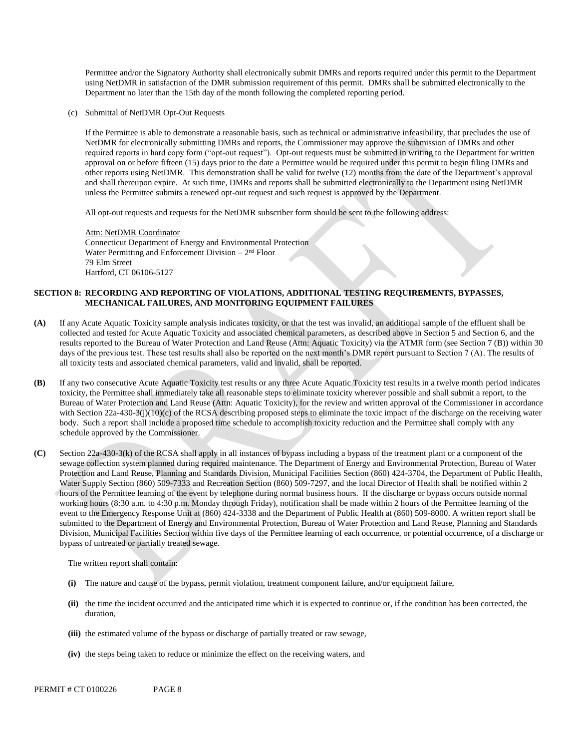Permittee and/or the Signatory Authority shall electronically submit DMRs and reports required under this permit to the Department using NetDMR in satisfaction of the DMR submission requirement of this permit. DMRs shall be submitted electronically to the Department no later than the 15th day of the month following the completed reporting period.

(c) Submittal of NetDMR Opt-Out Requests

If the Permittee is able to demonstrate a reasonable basis, such as technical or administrative infeasibility, that precludes the use of NetDMR for electronically submitting DMRs and reports, the Commissioner may approve the submission of DMRs and other required reports in hard copy form ("opt-out request"). Opt-out requests must be submitted in writing to the Department for written approval on or before fifteen (15) days prior to the date a Permittee would be required under this permit to begin filing DMRs and other reports using NetDMR. This demonstration shall be valid for twelve (12) months from the date of the Department's approval and shall thereupon expire. At such time, DMRs and reports shall be submitted electronically to the Department using NetDMR unless the Permittee submits a renewed opt-out request and such request is approved by the Department.

All opt-out requests and requests for the NetDMR subscriber form should be sent to the following address:

Attn: NetDMR Coordinator Connecticut Department of Energy and Environmental Protection Water Permitting and Enforcement Division  $-2<sup>nd</sup>$  Floor 79 Elm Street Hartford, CT 06106-5127

#### **SECTION 8: RECORDING AND REPORTING OF VIOLATIONS, ADDITIONAL TESTING REQUIREMENTS, BYPASSES, MECHANICAL FAILURES, AND MONITORING EQUIPMENT FAILURES**

- **(A)** If any Acute Aquatic Toxicity sample analysis indicates toxicity, or that the test was invalid, an additional sample of the effluent shall be collected and tested for Acute Aquatic Toxicity and associated chemical parameters, as described above in Section 5 and Section 6, and the results reported to the Bureau of Water Protection and Land Reuse (Attn: Aquatic Toxicity) via the ATMR form (see Section 7 (B)) within 30 days of the previous test. These test results shall also be reported on the next month's DMR report pursuant to Section 7 (A). The results of all toxicity tests and associated chemical parameters, valid and invalid, shall be reported.
- **(B)** If any two consecutive Acute Aquatic Toxicity test results or any three Acute Aquatic Toxicity test results in a twelve month period indicates toxicity, the Permittee shall immediately take all reasonable steps to eliminate toxicity wherever possible and shall submit a report, to the Bureau of Water Protection and Land Reuse (Attn: Aquatic Toxicity), for the review and written approval of the Commissioner in accordance with Section 22a-430-3(j)(10)(c) of the RCSA describing proposed steps to eliminate the toxic impact of the discharge on the receiving water body. Such a report shall include a proposed time schedule to accomplish toxicity reduction and the Permittee shall comply with any schedule approved by the Commissioner.
- **(C)** Section 22a-430-3(k) of the RCSA shall apply in all instances of bypass including a bypass of the treatment plant or a component of the sewage collection system planned during required maintenance. The Department of Energy and Environmental Protection, Bureau of Water Protection and Land Reuse, Planning and Standards Division, Municipal Facilities Section (860) 424-3704, the Department of Public Health, Water Supply Section (860) 509-7333 and Recreation Section (860) 509-7297, and the local Director of Health shall be notified within 2 hours of the Permittee learning of the event by telephone during normal business hours. If the discharge or bypass occurs outside normal working hours (8:30 a.m. to 4:30 p.m. Monday through Friday), notification shall be made within 2 hours of the Permittee learning of the event to the Emergency Response Unit at (860) 424-3338 and the Department of Public Health at (860) 509-8000. A written report shall be submitted to the Department of Energy and Environmental Protection, Bureau of Water Protection and Land Reuse, Planning and Standards Division, Municipal Facilities Section within five days of the Permittee learning of each occurrence, or potential occurrence, of a discharge or bypass of untreated or partially treated sewage.

The written report shall contain:

- **(i)** The nature and cause of the bypass, permit violation, treatment component failure, and/or equipment failure,
- (ii) the time the incident occurred and the anticipated time which it is expected to continue or, if the condition has been corrected, the duration,
- **(iii)** the estimated volume of the bypass or discharge of partially treated or raw sewage,
- **(iv)** the steps being taken to reduce or minimize the effect on the receiving waters, and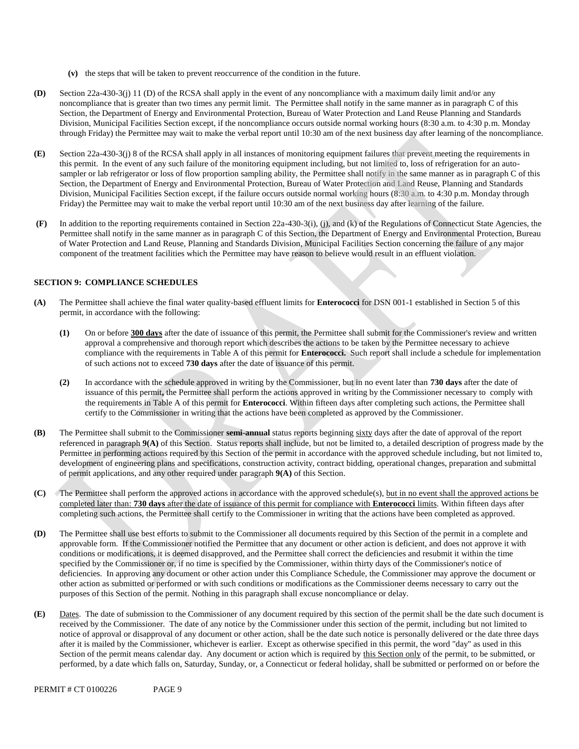- **(v)** thesteps that will be taken to prevent reoccurrence of the condition in the future.
- **(D)** Section 22a-430-3(j) 11 (D) of the RCSA shall apply in the event of any noncompliance with a maximum daily limit and/or any noncompliance that is greater than two times any permit limit. The Permittee shall notify in the same manner as in paragraph C of this Section, the Department of Energy and Environmental Protection, Bureau of Water Protection and Land Reuse Planning and Standards Division, Municipal Facilities Section except, if the noncompliance occurs outside normal working hours (8:30 a.m. to 4:30 p.m. Monday through Friday) the Permittee may wait to make the verbal report until 10:30 am of the next business day after learning of the noncompliance.
- **(E)** Section 22a-430-3(j) 8 of the RCSA shall apply in all instances of monitoring equipment failures that prevent meeting the requirements in this permit. In the event of any such failure of the monitoring equipment including, but not limited to, loss of refrigeration for an autosampler or lab refrigerator or loss of flow proportion sampling ability, the Permittee shall notify in the same manner as in paragraph C of this Section, the Department of Energy and Environmental Protection, Bureau of Water Protection and Land Reuse, Planning and Standards Division, Municipal Facilities Section except, if the failure occurs outside normal working hours (8:30 a.m. to 4:30 p.m. Monday through Friday) the Permittee may wait to make the verbal report until 10:30 am of the next business day after learning of the failure.
- **(F)** In addition to the reporting requirements contained in Section 22a-430-3(i), (j), and (k) of the Regulations of Connecticut State Agencies, the Permittee shall notify in the same manner as in paragraph C of this Section, the Department of Energy and Environmental Protection, Bureau of Water Protection and Land Reuse, Planning and Standards Division, Municipal Facilities Section concerning the failure of any major component of the treatment facilities which the Permittee may have reason to believe would result in an effluent violation.

### **SECTION 9: COMPLIANCE SCHEDULES**

- **(A)** The Permittee shall achieve the final water quality-based effluent limits for **Enterococci** for DSN 001-1 established in Section 5 of this permit, in accordance with the following:
	- **(1)** On or before **300 days** after the date of issuance of this permit, the Permittee shall submit for the Commissioner's review and written approval a comprehensive and thorough report which describes the actions to be taken by the Permittee necessary to achieve compliance with the requirements in Table A of this permit for **Enterococci.** Such report shall include a schedule for implementation of such actions not to exceed **730 days** after the date of issuance of this permit.
	- **(2)** In accordance with the schedule approved in writing by the Commissioner, but in no event later than **730 days** after the date of issuance of this permit**,** the Permittee shall perform the actions approved in writing by the Commissioner necessary to comply with the requirements in Table A of this permit for **Enterococci**. Within fifteen days after completing such actions, the Permittee shall certify to the Commissioner in writing that the actions have been completed as approved by the Commissioner.
- **(B)** The Permittee shall submit to the Commissioner **semi-annual** status reports beginning sixty days after the date of approval of the report referenced in paragraph **9(A)** of this Section. Status reports shall include, but not be limited to, a detailed description of progress made by the Permittee in performing actions required by this Section of the permit in accordance with the approved schedule including, but not limited to, development of engineering plans and specifications, construction activity, contract bidding, operational changes, preparation and submittal of permit applications, and any other required under paragraph **9(A)** of this Section.
- **(C)** The Permittee shall perform the approved actions in accordance with the approved schedule(s), but in no event shall the approved actions be completed later than: **730 days** after the date of issuance of this permit for compliance with **Enterococci** limits. Within fifteen days after completing such actions, the Permittee shall certify to the Commissioner in writing that the actions have been completed as approved.
- **(D)** The Permittee shall use best efforts to submit to the Commissioner all documents required by this Section of the permit in a complete and approvable form. If the Commissioner notified the Permittee that any document or other action is deficient, and does not approve it with conditions or modifications, it is deemed disapproved, and the Permittee shall correct the deficiencies and resubmit it within the time specified by the Commissioner or, if no time is specified by the Commissioner, within thirty days of the Commissioner's notice of deficiencies. In approving any document or other action under this Compliance Schedule, the Commissioner may approve the document or other action as submitted or performed or with such conditions or modifications as the Commissioner deems necessary to carry out the purposes of this Section of the permit. Nothing in this paragraph shall excuse noncompliance or delay.
- **(E)** Dates. The date of submission to the Commissioner of any document required by this section of the permit shall be the date such document is received by the Commissioner. The date of any notice by the Commissioner under this section of the permit, including but not limited to notice of approval or disapproval of any document or other action, shall be the date such notice is personally delivered or the date three days after it is mailed by the Commissioner, whichever is earlier. Except as otherwise specified in this permit, the word "day" as used in this Section of the permit means calendar day. Any document or action which is required by this Section only of the permit, to be submitted, or performed, by a date which falls on, Saturday, Sunday, or, a Connecticut or federal holiday, shall be submitted or performed on or before the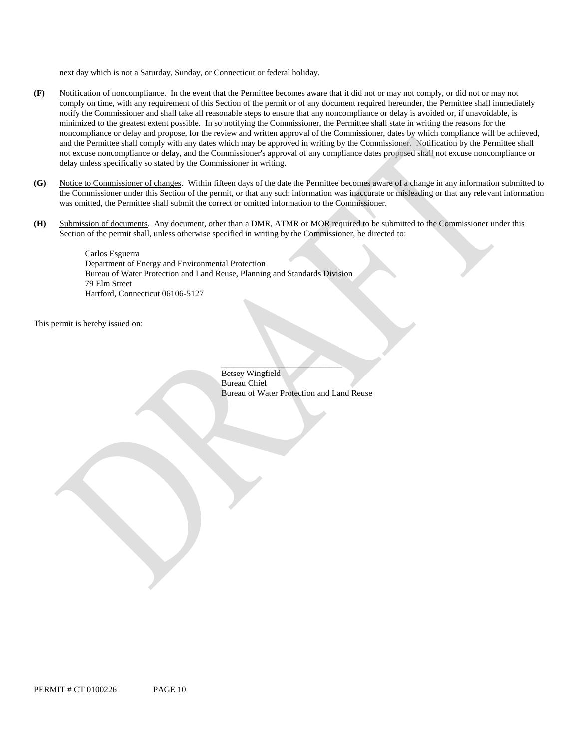next day which is not a Saturday, Sunday, or Connecticut or federal holiday.

- **(F)** Notification of noncompliance. In the event that the Permittee becomes aware that it did not or may not comply, or did not or may not comply on time, with any requirement of this Section of the permit or of any document required hereunder, the Permittee shall immediately notify the Commissioner and shall take all reasonable steps to ensure that any noncompliance or delay is avoided or, if unavoidable, is minimized to the greatest extent possible. In so notifying the Commissioner, the Permittee shall state in writing the reasons for the noncompliance or delay and propose, for the review and written approval of the Commissioner, dates by which compliance will be achieved, and the Permittee shall comply with any dates which may be approved in writing by the Commissioner. Notification by the Permittee shall not excuse noncompliance or delay, and the Commissioner's approval of any compliance dates proposed shall not excuse noncompliance or delay unless specifically so stated by the Commissioner in writing.
- **(G)** Notice to Commissioner of changes. Within fifteen days of the date the Permittee becomes aware of a change in any information submitted to the Commissioner under this Section of the permit, or that any such information was inaccurate or misleading or that any relevant information was omitted, the Permittee shall submit the correct or omitted information to the Commissioner.
- **(H)** Submission of documents. Any document, other than a DMR, ATMR or MOR required to be submitted to the Commissioner under this Section of the permit shall, unless otherwise specified in writing by the Commissioner, be directed to:

Carlos Esguerra Department of Energy and Environmental Protection Bureau of Water Protection and Land Reuse, Planning and Standards Division 79 Elm Street Hartford, Connecticut 06106-5127

This permit is hereby issued on:

\_\_\_\_\_\_\_\_\_\_\_\_\_\_\_\_\_\_\_\_\_\_\_\_\_\_\_\_ Betsey Wingfield Bureau Chief Bureau of Water Protection and Land Reuse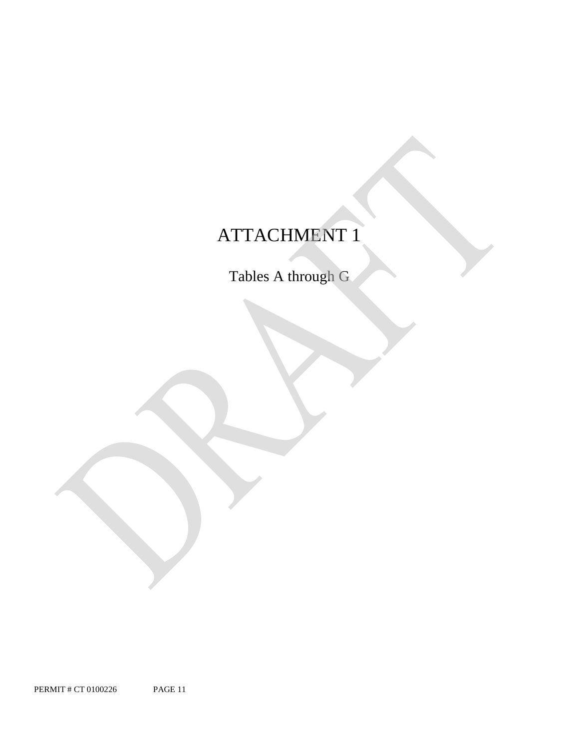# ATTACHMENT 1

Tables A through G

PERMIT # CT 0100226 PAGE 11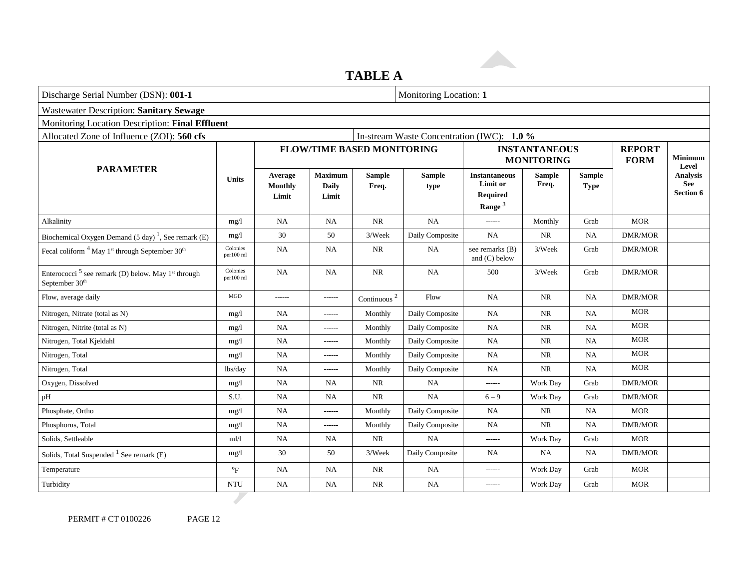# **TABLE A**

| Discharge Serial Number (DSN): 001-1                                                                     |                           |                             |                                         |                            | Monitoring Location: 1                     |                                                                  |                                           |                              |                |                                                   |
|----------------------------------------------------------------------------------------------------------|---------------------------|-----------------------------|-----------------------------------------|----------------------------|--------------------------------------------|------------------------------------------------------------------|-------------------------------------------|------------------------------|----------------|---------------------------------------------------|
| <b>Wastewater Description: Sanitary Sewage</b>                                                           |                           |                             |                                         |                            |                                            |                                                                  |                                           |                              |                |                                                   |
| Monitoring Location Description: Final Effluent                                                          |                           |                             |                                         |                            |                                            |                                                                  |                                           |                              |                |                                                   |
| Allocated Zone of Influence (ZOI): 560 cfs                                                               |                           |                             |                                         |                            | In-stream Waste Concentration (IWC): 1.0 % |                                                                  |                                           |                              |                |                                                   |
|                                                                                                          |                           |                             |                                         |                            | <b>FLOW/TIME BASED MONITORING</b>          |                                                                  | <b>INSTANTANEOUS</b><br><b>MONITORING</b> |                              |                | <b>Minimum</b><br>Level                           |
| <b>PARAMETER</b>                                                                                         | <b>Units</b>              | Average<br>Monthly<br>Limit | <b>Maximum</b><br><b>Daily</b><br>Limit | <b>Sample</b><br>Freq.     | <b>Sample</b><br>type                      | <b>Instantaneous</b><br>Limit or<br><b>Required</b><br>Range $3$ | <b>Sample</b><br>Freq.                    | <b>Sample</b><br><b>Type</b> |                | <b>Analysis</b><br><b>See</b><br><b>Section 6</b> |
| Alkalinity                                                                                               | mg/l                      | NA                          | <b>NA</b>                               | NR                         | <b>NA</b>                                  |                                                                  | Monthly                                   | Grab                         | <b>MOR</b>     |                                                   |
| Biochemical Oxygen Demand (5 day) <sup>1</sup> , See remark (E)                                          | mg/l                      | 30                          | 50                                      | 3/Week                     | Daily Composite                            | NA                                                               | NR                                        | NA                           | <b>DMR/MOR</b> |                                                   |
| Fecal coliform <sup>4</sup> May 1 <sup>st</sup> through September 30 <sup>th</sup>                       | Colonies<br>per100 ml     | $_{\rm NA}$                 | <b>NA</b>                               | NR                         | NA                                         | see remarks (B)<br>and $(C)$ below                               | 3/Week                                    | Grab                         | <b>DMR/MOR</b> |                                                   |
| Enterococci <sup>5</sup> see remark (D) below. May 1 <sup>st</sup> through<br>September 30 <sup>th</sup> | Colonies<br>per100 ml     | NA                          | <b>NA</b>                               | NR                         | <b>NA</b>                                  | 500                                                              | 3/Week                                    | Grab                         | <b>DMR/MOR</b> |                                                   |
| Flow, average daily                                                                                      | <b>MGD</b>                | ------                      | ------                                  | Continuous $^{\mathrm{2}}$ | Flow                                       | NA                                                               | <b>NR</b>                                 | <b>NA</b>                    | <b>DMR/MOR</b> |                                                   |
| Nitrogen, Nitrate (total as N)                                                                           | mg/l                      | <b>NA</b>                   | ------                                  | Monthly                    | Daily Composite                            | <b>NA</b>                                                        | <b>NR</b>                                 | NA                           | <b>MOR</b>     |                                                   |
| Nitrogen, Nitrite (total as N)                                                                           | mg/1                      | NA                          | ------                                  | Monthly                    | Daily Composite                            | <b>NA</b>                                                        | <b>NR</b>                                 | NA                           | <b>MOR</b>     |                                                   |
| Nitrogen, Total Kjeldahl                                                                                 | mg/l                      | NA                          | ------                                  | Monthly                    | Daily Composite                            | <b>NA</b>                                                        | <b>NR</b>                                 | <b>NA</b>                    | <b>MOR</b>     |                                                   |
| Nitrogen, Total                                                                                          | mg/l                      | NA                          | ------                                  | Monthly                    | Daily Composite                            | <b>NA</b>                                                        | <b>NR</b>                                 | NA                           | <b>MOR</b>     |                                                   |
| Nitrogen, Total                                                                                          | lbs/day                   | NA                          | ------                                  | Monthly                    | Daily Composite                            | <b>NA</b>                                                        | $\rm NR$                                  | $\rm NA$                     | <b>MOR</b>     |                                                   |
| Oxygen, Dissolved                                                                                        | mg/1                      | NA                          | <b>NA</b>                               | NR                         | <b>NA</b>                                  | ------                                                           | Work Day                                  | Grab                         | <b>DMR/MOR</b> |                                                   |
| pH                                                                                                       | S.U.                      | NA                          | NA                                      | <b>NR</b>                  | NA                                         | $6 - 9$                                                          | Work Day                                  | Grab                         | <b>DMR/MOR</b> |                                                   |
| Phosphate, Ortho                                                                                         | mg/l                      | NA                          | ------                                  | Monthly                    | Daily Composite                            | <b>NA</b>                                                        | <b>NR</b>                                 | <b>NA</b>                    | <b>MOR</b>     |                                                   |
| Phosphorus, Total                                                                                        | mg/1                      | NA                          | ------                                  | Monthly                    | Daily Composite                            | <b>NA</b>                                                        | <b>NR</b>                                 | NA                           | <b>DMR/MOR</b> |                                                   |
| Solids, Settleable                                                                                       | m l/l                     | NA                          | NA                                      | NR                         | <b>NA</b>                                  | ------                                                           | Work Day                                  | Grab                         | <b>MOR</b>     |                                                   |
| Solids, Total Suspended $1$ See remark (E)                                                               | mg/1                      | 30                          | 50                                      | 3/Week                     | Daily Composite                            | NA                                                               | <b>NA</b>                                 | NA                           | <b>DMR/MOR</b> |                                                   |
| Temperature                                                                                              | $\mathrm{P}_{\mathrm{F}}$ | NA                          | <b>NA</b>                               | $\rm NR$                   | NA                                         |                                                                  | Work Day                                  | Grab                         | <b>MOR</b>     |                                                   |
| Turbidity                                                                                                | <b>NTU</b>                | NA                          | NA                                      | NR                         | NA                                         | $------$                                                         | Work Day                                  | Grab                         | <b>MOR</b>     |                                                   |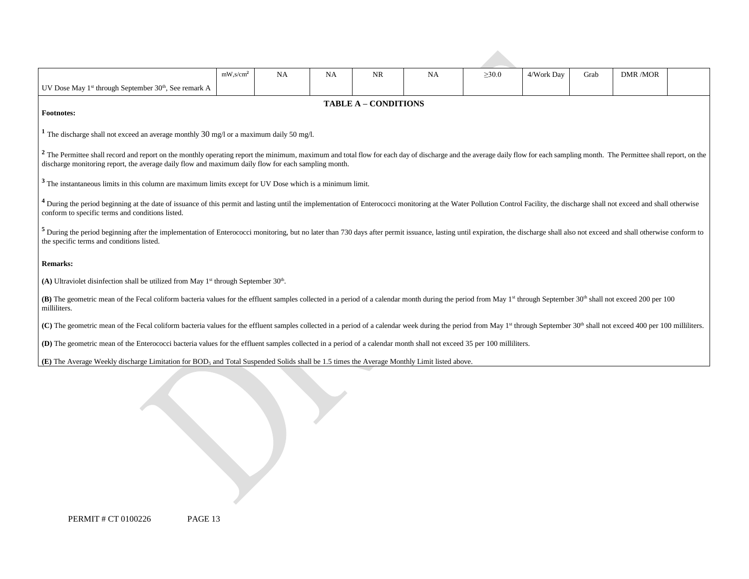|                                                                                                                                                                                                                                                                                             | $mW$ , s/cm <sup>2</sup>                                                                                                                                                                                                                                                                                                                       | NA | <b>NA</b> | <b>NR</b> | NA | $\geq 30.0$ | 4/Work Day | Grab | <b>DMR/MOR</b> |  |
|---------------------------------------------------------------------------------------------------------------------------------------------------------------------------------------------------------------------------------------------------------------------------------------------|------------------------------------------------------------------------------------------------------------------------------------------------------------------------------------------------------------------------------------------------------------------------------------------------------------------------------------------------|----|-----------|-----------|----|-------------|------------|------|----------------|--|
| UV Dose May 1 <sup>st</sup> through September 30 <sup>th</sup> , See remark A                                                                                                                                                                                                               |                                                                                                                                                                                                                                                                                                                                                |    |           |           |    |             |            |      |                |  |
| <b>TABLE A - CONDITIONS</b>                                                                                                                                                                                                                                                                 |                                                                                                                                                                                                                                                                                                                                                |    |           |           |    |             |            |      |                |  |
| <b>Footnotes:</b>                                                                                                                                                                                                                                                                           |                                                                                                                                                                                                                                                                                                                                                |    |           |           |    |             |            |      |                |  |
|                                                                                                                                                                                                                                                                                             | <sup>1</sup> The discharge shall not exceed an average monthly 30 mg/l or a maximum daily 50 mg/l.                                                                                                                                                                                                                                             |    |           |           |    |             |            |      |                |  |
|                                                                                                                                                                                                                                                                                             | <sup>2</sup> The Permittee shall record and report on the monthly operating report the minimum, maximum and total flow for each day of discharge and the average daily flow for each sampling month. The Permittee shall report, on the<br>discharge monitoring report, the average daily flow and maximum daily flow for each sampling month. |    |           |           |    |             |            |      |                |  |
| <sup>3</sup> The instantaneous limits in this column are maximum limits except for UV Dose which is a minimum limit.                                                                                                                                                                        |                                                                                                                                                                                                                                                                                                                                                |    |           |           |    |             |            |      |                |  |
| <sup>4</sup> During the period beginning at the date of issuance of this permit and lasting until the implementation of Enterococci monitoring at the Water Pollution Control Facility, the discharge shall not exceed and shall otherw<br>conform to specific terms and conditions listed. |                                                                                                                                                                                                                                                                                                                                                |    |           |           |    |             |            |      |                |  |
| <sup>5</sup> During the period beginning after the implementation of Enterococci monitoring, but no later than 730 days after permit issuance, lasting until expiration, the discharge shall also not exceed and shall otherwise confor<br>the specific terms and conditions listed.        |                                                                                                                                                                                                                                                                                                                                                |    |           |           |    |             |            |      |                |  |
| <b>Remarks:</b>                                                                                                                                                                                                                                                                             |                                                                                                                                                                                                                                                                                                                                                |    |           |           |    |             |            |      |                |  |
| (A) Ultraviolet disinfection shall be utilized from May 1 <sup>st</sup> through September $30th$ .                                                                                                                                                                                          |                                                                                                                                                                                                                                                                                                                                                |    |           |           |    |             |            |      |                |  |
| (B) The geometric mean of the Fecal coliform bacteria values for the effluent samples collected in a period of a calendar month during the period from May 1 <sup>st</sup> through September 30 <sup>th</sup> shall not exceed 200 per 100<br>milliliters.                                  |                                                                                                                                                                                                                                                                                                                                                |    |           |           |    |             |            |      |                |  |
| (C) The geometric mean of the Fecal coliform bacteria values for the effluent samples collected in a period of a calendar week during the period from May 1 <sup>st</sup> through September 30 <sup>th</sup> shall not exceed 400 per 100 millilte                                          |                                                                                                                                                                                                                                                                                                                                                |    |           |           |    |             |            |      |                |  |
| (D) The geometric mean of the Enterococci bacteria values for the effluent samples collected in a period of a calendar month shall not exceed 35 per 100 milliliters.                                                                                                                       |                                                                                                                                                                                                                                                                                                                                                |    |           |           |    |             |            |      |                |  |
| (E) The Average Weekly discharge Limitation for BOD <sub>5</sub> and Total Suspended Solids shall be 1.5 times the Average Monthly Limit listed above.                                                                                                                                      |                                                                                                                                                                                                                                                                                                                                                |    |           |           |    |             |            |      |                |  |
|                                                                                                                                                                                                                                                                                             |                                                                                                                                                                                                                                                                                                                                                |    |           |           |    |             |            |      |                |  |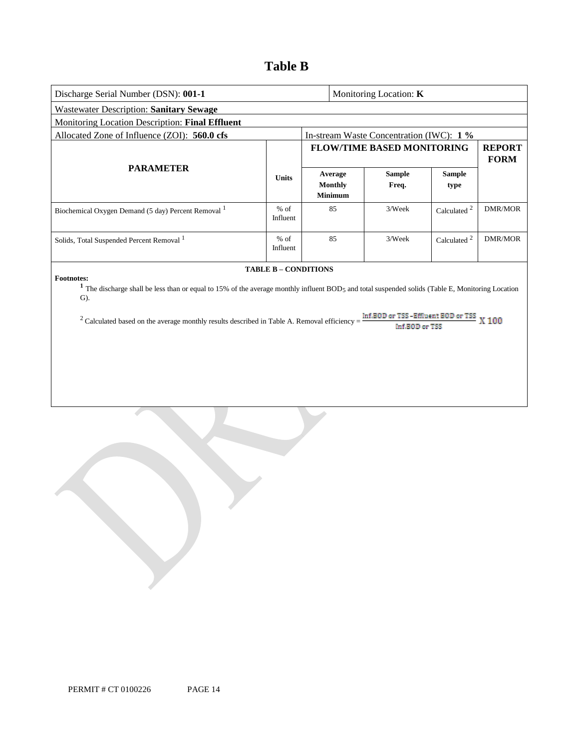## **Table B**

| Discharge Serial Number (DSN): 001-1                                                                                                                                                                                                                                                                                       |                             |  | Monitoring Location: K                      |                                                              |                       |                              |
|----------------------------------------------------------------------------------------------------------------------------------------------------------------------------------------------------------------------------------------------------------------------------------------------------------------------------|-----------------------------|--|---------------------------------------------|--------------------------------------------------------------|-----------------------|------------------------------|
| <b>Wastewater Description: Sanitary Sewage</b>                                                                                                                                                                                                                                                                             |                             |  |                                             |                                                              |                       |                              |
| Monitoring Location Description: Final Effluent                                                                                                                                                                                                                                                                            |                             |  |                                             |                                                              |                       |                              |
| Allocated Zone of Influence (ZOI): 560.0 cfs                                                                                                                                                                                                                                                                               |                             |  |                                             | In-stream Waste Concentration (IWC): 1 %                     |                       |                              |
| <b>PARAMETER</b>                                                                                                                                                                                                                                                                                                           |                             |  |                                             | <b>FLOW/TIME BASED MONITORING</b>                            |                       | <b>REPORT</b><br><b>FORM</b> |
|                                                                                                                                                                                                                                                                                                                            | <b>Units</b>                |  | Average<br><b>Monthly</b><br><b>Minimum</b> | <b>Sample</b><br>Freq.                                       | <b>Sample</b><br>type |                              |
| Biochemical Oxygen Demand (5 day) Percent Removal <sup>1</sup>                                                                                                                                                                                                                                                             | $%$ of<br>Influent          |  | 85                                          | 3/Week                                                       | Calculated $^2$       | <b>DMR/MOR</b>               |
| Solids, Total Suspended Percent Removal 1                                                                                                                                                                                                                                                                                  | $%$ of<br>Influent          |  | 85                                          | 3/Week                                                       | Calculated $^2$       | <b>DMR/MOR</b>               |
| <b>Footnotes:</b><br><sup>1</sup> The discharge shall be less than or equal to 15% of the average monthly influent BOD <sub>5</sub> and total suspended solids (Table E, Monitoring Location<br>$\mathbf{G}$ ).<br><sup>2</sup> Calculated based on the average monthly results described in Table A. Removal efficiency = | <b>TABLE B - CONDITIONS</b> |  |                                             | Inf.BOD or TSS-Effluent BOD or TSS $X$ 100<br>Inf.BOD or TSS |                       |                              |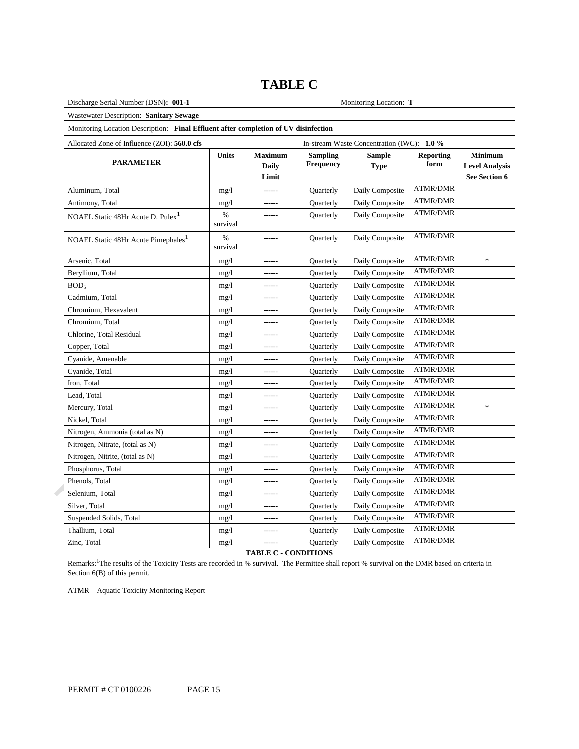#### Discharge Serial Number (DSN): 001-1 **Monitoring Location: T Monitoring Location: T**  Wastewater Description: **Sanitary Sewage**  Monitoring Location Description: **Final Effluent after completion of UV disinfection**  Allocated Zone of Influence (ZOI): **560.0 cfs** In-stream Waste Concentration (IWC): **1.0 % See Section 6**  NOAEL Static 48Hr Acute D.  $Puler<sup>1</sup>$  % NOAEL Static 48Hr Acute Pimephales<sup>1</sup>  $\%$  Chlorine, Total Residual mg/l ----- Quarterly Daily Composite ATMR/DMR Nitrogen, Ammonia (total as N) mg/l ------ Quarterly Daily Composite ATMR/DMR Nitrogen, Nitrate, (total as N) mg/l ------ Quarterly Daily Composite ATMR/DMR Nitrogen, Nitrite, (total as N) mg/l mg/l ------ Quarterly Daily Composite ATMR/DMR **PARAMETER Units Maximum Daily Limit Sampling Frequency Sample Type Reporting form Minimum Level Analysis**  Aluminum, Total mg/l mg/l ------ Quarterly Daily Composite ATMR/DMR Antimony, Total mg/l mg/l ------ Quarterly Daily Composite ATMR/DMR survival ----- Quarterly Daily Composite ATMR/DMR survival ----- Quarterly Daily Composite ATMR/DMR Arsenic, Total mg/l ------ Quarterly Daily Composite ATMR/DMR \* Beryllium, Total mg/l mg/l ------ Quarterly Daily Composite ATMR/DMR BOD<sub>5</sub> mg/l ------ Quarterly Daily Composite ATMR/DMR Cadmium, Total mg/l mg/l ------ Quarterly Daily Composite ATMR/DMR Chromium, Hexavalent mg/l mg/l ------ Quarterly Daily Composite ATMR/DMR Chromium, Total mg/l mg/l ------ Quarterly Daily Composite ATMR/DMR Copper, Total mg/l mg/l ------ Quarterly Daily Composite ATMR/DMR Cyanide, Amenable mg/l ----- Quarterly Daily Composite ATMR/DMR Cyanide, Total mg/l mg/l ------ Quarterly Daily Composite ATMR/DMR Iron, Total mg/l ------ Quarterly Daily Composite ATMR/DMR Lead, Total and the mg/l mg/l ------ Quarterly Daily Composite ATMR/DMR Mercury, Total mg/l mg/l ------ Quarterly Daily Composite ATMR/DMR \* Nickel, Total mg/l mg/l ------ Quarterly Daily Composite ATMR/DMR Phosphorus, Total mg/l mg/l ------ Quarterly Daily Composite ATMR/DMR Phenols, Total mg/l mg/l ------ Quarterly Daily Composite ATMR/DMR Selenium, Total mg/l mg/l ------ Quarterly Daily Composite ATMR/DMR Silver, Total mg/l mg/l ------ Quarterly Daily Composite ATMR/DMR Suspended Solids, Total mg/l mg/l ------ Quarterly Daily Composite ATMR/DMR Thallium, Total mg/l mg/l ------ Quarterly Daily Composite ATMR/DMR Zinc, Total **mg/l** mg/l ------ Quarterly Daily Composite ATMR/DMR

### **TABLE C**

**TABLE C - CONDITIONS** 

Remarks: <sup>1</sup>The results of the Toxicity Tests are recorded in % survival. The Permittee shall report <u>% survival</u> on the DMR based on criteria in Section 6(B) of this permit.

ATMR – Aquatic Toxicity Monitoring Report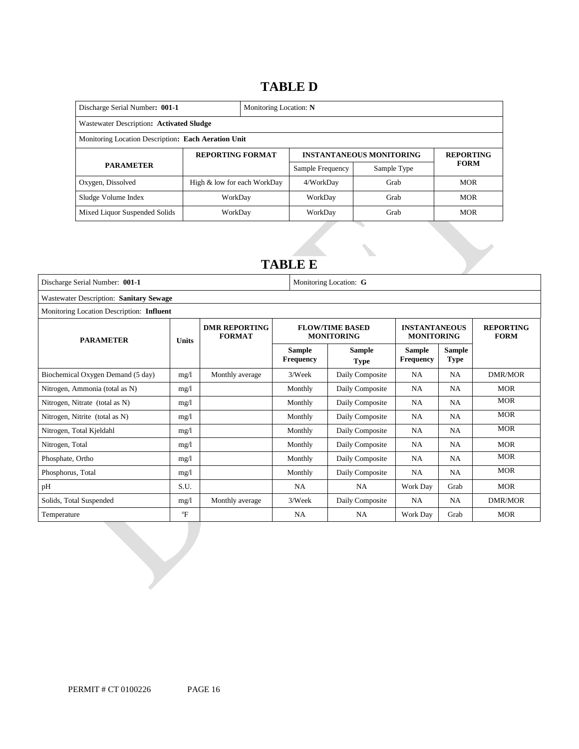### **TABLE D**

| Discharge Serial Number: 001-1                      |                             | Monitoring Location: N |                  |                                 |                  |  |  |  |
|-----------------------------------------------------|-----------------------------|------------------------|------------------|---------------------------------|------------------|--|--|--|
| Wastewater Description: Activated Sludge            |                             |                        |                  |                                 |                  |  |  |  |
| Monitoring Location Description: Each Aeration Unit |                             |                        |                  |                                 |                  |  |  |  |
| <b>REPORTING FORMAT</b>                             |                             |                        |                  | <b>INSTANTANEOUS MONITORING</b> | <b>REPORTING</b> |  |  |  |
| <b>PARAMETER</b>                                    |                             |                        | Sample Frequency | Sample Type                     | <b>FORM</b>      |  |  |  |
| Oxygen, Dissolved                                   | High & low for each WorkDay |                        | 4/WorkDay        | Grab                            | <b>MOR</b>       |  |  |  |
| Sludge Volume Index                                 | WorkDav                     |                        | WorkDay          | Grab                            | <b>MOR</b>       |  |  |  |
| Mixed Liquor Suspended Solids                       | WorkDay                     |                        | WorkDay          | Grab                            | <b>MOR</b>       |  |  |  |

### **TABLE E**

| Discharge Serial Number: 001-1                    |              |                      |                                             | Monitoring Location: G                    |                                   |                                 |                |  |
|---------------------------------------------------|--------------|----------------------|---------------------------------------------|-------------------------------------------|-----------------------------------|---------------------------------|----------------|--|
| Wastewater Description: Sanitary Sewage           |              |                      |                                             |                                           |                                   |                                 |                |  |
| Monitoring Location Description: Influent         |              |                      |                                             |                                           |                                   |                                 |                |  |
| <b>FORMAT</b><br><b>PARAMETER</b><br><b>Units</b> |              | <b>DMR REPORTING</b> | <b>FLOW/TIME BASED</b><br><b>MONITORING</b> | <b>INSTANTANEOUS</b><br><b>MONITORING</b> |                                   | <b>REPORTING</b><br><b>FORM</b> |                |  |
|                                                   |              |                      | <b>Sample</b><br><b>Frequency</b>           | <b>Sample</b><br><b>Type</b>              | <b>Sample</b><br><b>Frequency</b> | <b>Sample</b><br><b>Type</b>    |                |  |
| Biochemical Oxygen Demand (5 day)                 | mg/1         | Monthly average      | 3/Week                                      | Daily Composite                           | <b>NA</b>                         | <b>NA</b>                       | DMR/MOR        |  |
| Nitrogen, Ammonia (total as N)                    | mg/l         |                      | Monthly                                     | Daily Composite                           | NA                                | NA                              | <b>MOR</b>     |  |
| Nitrogen, Nitrate (total as N)                    | mg/l         |                      | Monthly                                     | Daily Composite                           | <b>NA</b>                         | <b>NA</b>                       | <b>MOR</b>     |  |
| Nitrogen, Nitrite (total as N)                    | mg/l         |                      | Monthly                                     | Daily Composite                           | NA                                | <b>NA</b>                       | <b>MOR</b>     |  |
| Nitrogen, Total Kjeldahl                          | mg/l         |                      | Monthly                                     | Daily Composite                           | NA                                | <b>NA</b>                       | <b>MOR</b>     |  |
| Nitrogen, Total                                   | mg/l         |                      | Monthly                                     | Daily Composite                           | NA                                | NA                              | <b>MOR</b>     |  |
| Phosphate, Ortho                                  | mg/l         |                      | Monthly                                     | Daily Composite                           | NA                                | <b>NA</b>                       | <b>MOR</b>     |  |
| Phosphorus, Total                                 | mg/1         |                      | Monthly                                     | Daily Composite                           | NA                                | <b>NA</b>                       | <b>MOR</b>     |  |
| pН                                                | S.U.         |                      | <b>NA</b>                                   | <b>NA</b>                                 | Work Day                          | Grab                            | <b>MOR</b>     |  |
| Solids, Total Suspended                           | mg/l         | Monthly average      | 3/Week                                      | Daily Composite                           | NA                                | <b>NA</b>                       | <b>DMR/MOR</b> |  |
| Temperature                                       | $\mathrm{P}$ |                      | NA                                          | <b>NA</b>                                 | Work Day                          | Grab                            | <b>MOR</b>     |  |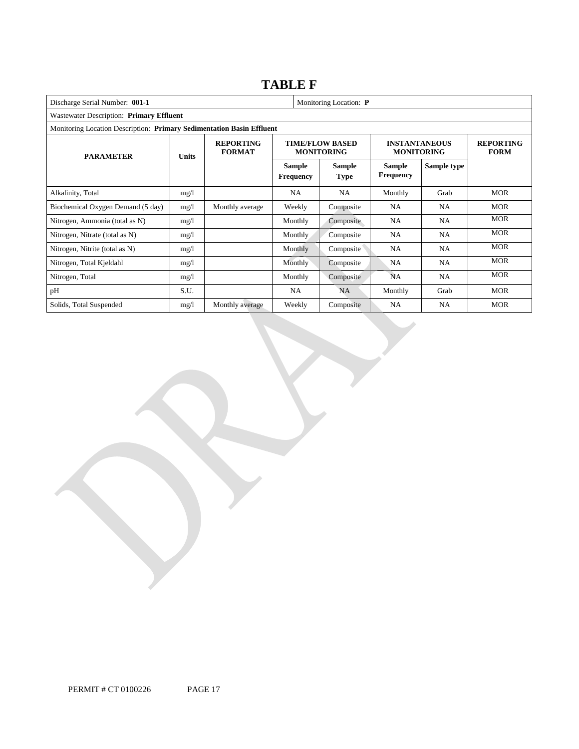### **TABLE F**

| Discharge Serial Number: 001-1           |                                                                       |                                   |                                   | Monitoring Location: P                      |                                           |                                 |            |  |  |
|------------------------------------------|-----------------------------------------------------------------------|-----------------------------------|-----------------------------------|---------------------------------------------|-------------------------------------------|---------------------------------|------------|--|--|
| Wastewater Description: Primary Effluent |                                                                       |                                   |                                   |                                             |                                           |                                 |            |  |  |
|                                          | Monitoring Location Description: Primary Sedimentation Basin Effluent |                                   |                                   |                                             |                                           |                                 |            |  |  |
| <b>PARAMETER</b><br><b>Units</b>         |                                                                       | <b>REPORTING</b><br><b>FORMAT</b> |                                   | <b>TIME/FLOW BASED</b><br><b>MONITORING</b> | <b>INSTANTANEOUS</b><br><b>MONITORING</b> | <b>REPORTING</b><br><b>FORM</b> |            |  |  |
|                                          |                                                                       |                                   | <b>Sample</b><br><b>Frequency</b> | <b>Sample</b><br><b>Type</b>                | <b>Sample</b><br><b>Frequency</b>         | Sample type                     |            |  |  |
| Alkalinity, Total                        | mg/l                                                                  |                                   | NA                                | <b>NA</b>                                   | Monthly                                   | Grab                            | <b>MOR</b> |  |  |
| Biochemical Oxygen Demand (5 day)        | mg/1                                                                  | Monthly average                   | Weekly                            | Composite                                   | <b>NA</b>                                 | NA                              | <b>MOR</b> |  |  |
| Nitrogen, Ammonia (total as N)           | mg/1                                                                  |                                   | Monthly                           | Composite                                   | <b>NA</b>                                 | <b>NA</b>                       | <b>MOR</b> |  |  |
| Nitrogen, Nitrate (total as N)           | mg/1                                                                  |                                   | <b>Monthly</b>                    | Composite                                   | <b>NA</b>                                 | <b>NA</b>                       | <b>MOR</b> |  |  |
| Nitrogen, Nitrite (total as N)           | mg/1                                                                  |                                   | Monthly                           | Composite                                   | <b>NA</b>                                 | NA                              | <b>MOR</b> |  |  |
| Nitrogen, Total Kjeldahl                 | mg/l                                                                  |                                   | Monthly                           | Composite                                   | NA                                        | NA.                             | <b>MOR</b> |  |  |
| Nitrogen, Total                          | mg/1                                                                  |                                   | Monthly                           | Composite                                   | <b>NA</b>                                 | NA                              | <b>MOR</b> |  |  |
| pH                                       | S.U.                                                                  |                                   | NA                                | NA                                          | Monthly                                   | Grab                            | <b>MOR</b> |  |  |
| Solids, Total Suspended                  | mg/1                                                                  | Monthly average                   | Weekly                            | Composite                                   | <b>NA</b>                                 | NA.                             | <b>MOR</b> |  |  |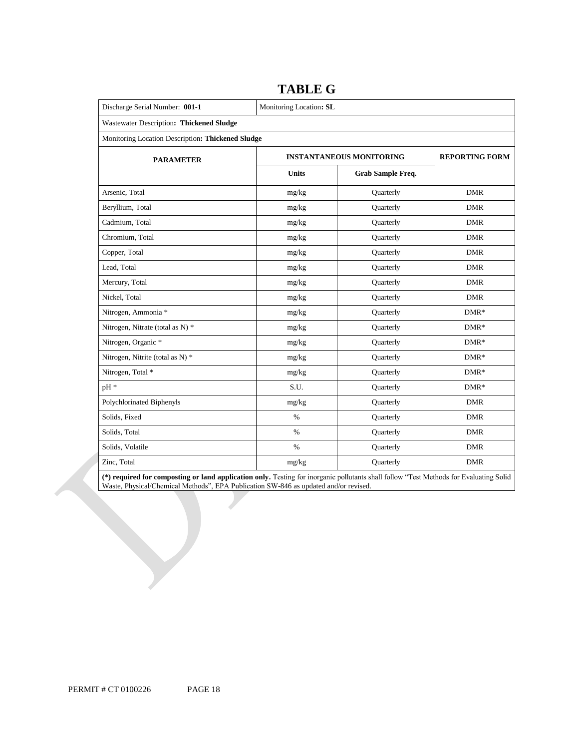| Discharge Serial Number: 001-1                    | Monitoring Location: SL         |                       |            |  |  |  |  |
|---------------------------------------------------|---------------------------------|-----------------------|------------|--|--|--|--|
| Wastewater Description: Thickened Sludge          |                                 |                       |            |  |  |  |  |
| Monitoring Location Description: Thickened Sludge |                                 |                       |            |  |  |  |  |
| <b>PARAMETER</b>                                  | <b>INSTANTANEOUS MONITORING</b> | <b>REPORTING FORM</b> |            |  |  |  |  |
|                                                   | <b>Units</b>                    | Grab Sample Freq.     |            |  |  |  |  |
| Arsenic, Total                                    | mg/kg                           | Quarterly             | <b>DMR</b> |  |  |  |  |
| Beryllium, Total                                  | mg/kg                           | Quarterly             | <b>DMR</b> |  |  |  |  |
| Cadmium, Total                                    | mg/kg                           | Quarterly             | <b>DMR</b> |  |  |  |  |
| Chromium, Total                                   | mg/kg                           | Quarterly             | <b>DMR</b> |  |  |  |  |
| Copper, Total                                     | mg/kg                           | Quarterly             | <b>DMR</b> |  |  |  |  |
| Lead, Total                                       | mg/kg                           | Quarterly             | <b>DMR</b> |  |  |  |  |
| Mercury, Total                                    | mg/kg                           | Quarterly             | <b>DMR</b> |  |  |  |  |
| Nickel, Total                                     | mg/kg                           | Quarterly             | <b>DMR</b> |  |  |  |  |
| Nitrogen, Ammonia *                               | mg/kg                           | Quarterly             | $DMR*$     |  |  |  |  |
| Nitrogen, Nitrate (total as N) *                  | mg/kg                           | Quarterly             | $DMR*$     |  |  |  |  |
| Nitrogen, Organic *                               | mg/kg                           | Quarterly             | $DMR*$     |  |  |  |  |
| Nitrogen, Nitrite (total as N) *                  | mg/kg                           | Quarterly             | $DMR*$     |  |  |  |  |
| Nitrogen, Total *                                 | mg/kg                           | Quarterly             | $DMR*$     |  |  |  |  |
| pH *                                              | S.U.                            | Quarterly             | $DMR*$     |  |  |  |  |
| Polychlorinated Biphenyls                         | mg/kg                           | Quarterly             | <b>DMR</b> |  |  |  |  |
| Solids, Fixed                                     | $\%$                            | Quarterly             | <b>DMR</b> |  |  |  |  |
| Solids, Total                                     | $\%$                            | Quarterly             | <b>DMR</b> |  |  |  |  |
| Solids, Volatile                                  | $\%$                            | Quarterly             | <b>DMR</b> |  |  |  |  |
| Zinc, Total                                       | mg/kg                           | Quarterly             | <b>DMR</b> |  |  |  |  |

### **TABLE G**

**(\*) required for composting or land application only.** Testing for inorganic pollutants shall follow "Test Methods for Evaluating Solid Waste, Physical/Chemical Methods", EPA Publication SW-846 as updated and/or revised.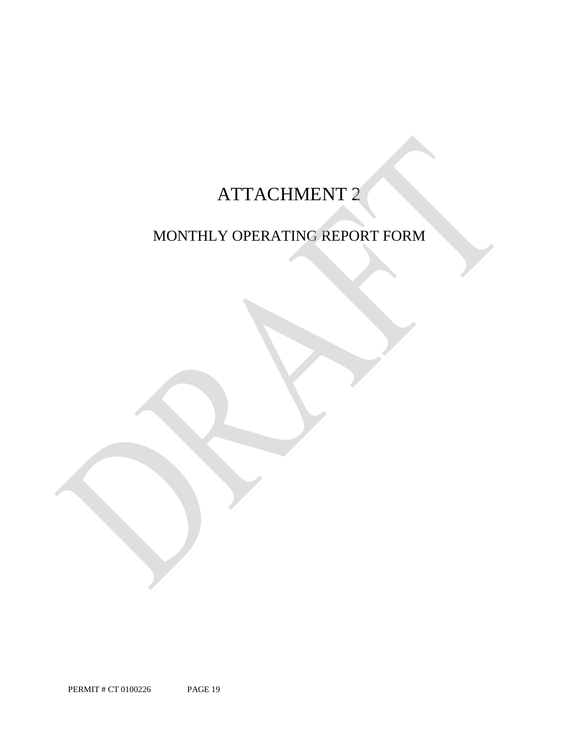# ATTACHMENT 2

# MONTHLY OPERATING REPORT FORM

PERMIT # CT 0100226 PAGE 19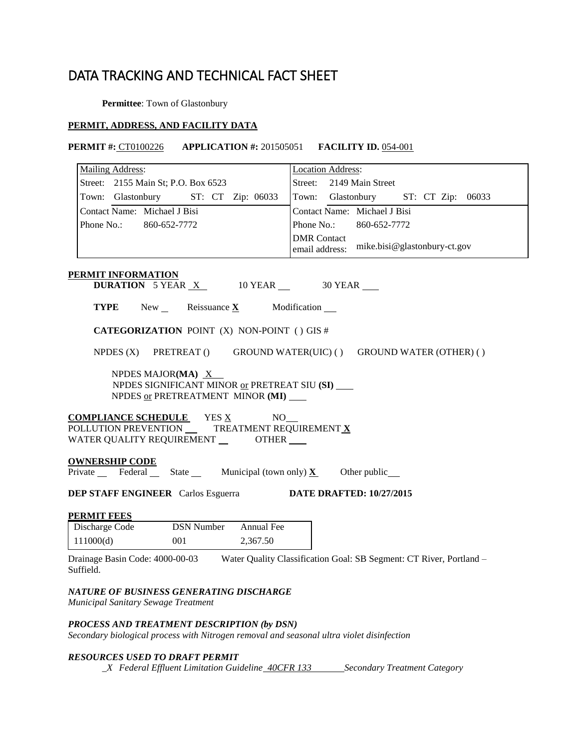## DATA TRACKING AND TECHNICAL FACT SHEET

**Permittee**: Town of Glastonbury

### **PERMIT, ADDRESS, AND FACILITY DATA**

### **PERMIT #:** CT0100226 **APPLICATION #:** 201505051 **FACILITY ID.** 054-001

| Mailing Address:                                                                                                       | <b>Location Address:</b>                                                                            |
|------------------------------------------------------------------------------------------------------------------------|-----------------------------------------------------------------------------------------------------|
| Street: 2155 Main St; P.O. Box 6523                                                                                    | Street: 2149 Main Street                                                                            |
| Town: Glastonbury<br>ST: CT Zip: 06033                                                                                 | Town: Glastonbury ST: CT Zip: 06033                                                                 |
| Contact Name: Michael J Bisi                                                                                           | Contact Name: Michael J Bisi                                                                        |
| Phone No.:<br>860-652-7772                                                                                             | Phone No.:<br>860-652-7772                                                                          |
|                                                                                                                        | <b>DMR</b> Contact<br>mike.bisi@glastonbury-ct.gov<br>email address:                                |
| <b>PERMIT INFORMATION</b><br><b>DURATION</b> 5 YEAR $X$ 10 YEAR $\_\$ 30 YEAR                                          |                                                                                                     |
| <b>TYPE</b><br>New Reissuance $\underline{\mathbf{X}}$                                                                 | Modification __                                                                                     |
| CATEGORIZATION POINT (X) NON-POINT () GIS #                                                                            |                                                                                                     |
| NPDES $(X)$                                                                                                            | PRETREAT () GROUND WATER(UIC) () GROUND WATER (OTHER) ()                                            |
| NPDES MAJOR(MA) X<br>NPDES SIGNIFICANT MINOR or PRETREAT SIU (SI)<br>NPDES or PRETREATMENT MINOR (MI)                  |                                                                                                     |
| <b>COMPLIANCE SCHEDULE</b> YES X<br>POLLUTION PREVENTION ______TREATMENT REQUIREMENT X<br>WATER QUALITY REQUIREMENT __ | NO.<br>OTHER                                                                                        |
| <b>OWNERSHIP CODE</b>                                                                                                  |                                                                                                     |
| Private Federal State Municipal (town only) $X$ Other public                                                           |                                                                                                     |
| <b>DEP STAFF ENGINEER</b> Carlos Esguerra                                                                              | <b>DATE DRAFTED: 10/27/2015</b>                                                                     |
| <b>PERMIT FEES</b>                                                                                                     |                                                                                                     |
| <b>DSN Number</b><br>Discharge Code<br>Annual Fee                                                                      |                                                                                                     |
| 111000(d)<br>001<br>2,367.50                                                                                           |                                                                                                     |
| Suffield.                                                                                                              | Drainage Basin Code: 4000-00-03 Water Quality Classification Goal: SB Segment: CT River, Portland - |

*Municipal Sanitary Sewage Treatment* 

### *PROCESS AND TREATMENT DESCRIPTION (by DSN)*

 *Secondary biological process with Nitrogen removal and seasonal ultra violet disinfection* 

### *RESOURCES USED TO DRAFT PERMIT*

*\_X Federal Effluent Limitation Guideline <del>40CFR 133</del> Secondary Treatment Category*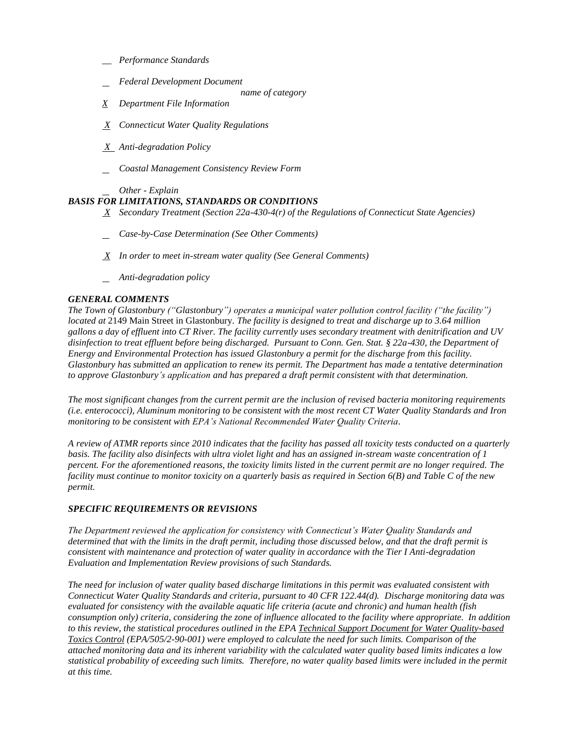- *\_\_ Performance Standards*
- *Federal Development Document* 
	- *name of category*
- *X Department File Information*
- *X Connecticut Water Quality Regulations*
- *X Anti-degradation Policy*
- *Coastal Management Consistency Review Form*

*Other - Explain* 

### *BASIS FOR LIMITATIONS, STANDARDS OR CONDITIONS*

- *X Secondary Treatment (Section 22a-430-4(r) of the Regulations of Connecticut State Agencies)*
- *Case-by-Case Determination (See Other Comments)*
- *X In order to meet in-stream water quality (See General Comments)*
- *Anti-degradation policy*

### *GENERAL COMMENTS*

 *The Town of Glastonbury ("Glastonbury") operates a municipal water pollution control facility ("the facility") located at* 2149 Main Street in Glastonbury*. The facility is designed to treat and discharge up to 3.64 million gallons a day of effluent into CT River. The facility currently uses secondary treatment with denitrification and UV disinfection to treat effluent before being discharged. Pursuant to Conn. Gen. Stat. § 22a-430, the Department of Energy and Environmental Protection has issued Glastonbury a permit for the discharge from this facility. Glastonbury has submitted an application to renew its permit. The Department has made a tentative determination to approve Glastonbury's application and has prepared a draft permit consistent with that determination.* 

 *The most significant changes from the current permit are the inclusion of revised bacteria monitoring requirements (i.e. enterococci), Aluminum monitoring to be consistent with the most recent CT Water Quality Standards and Iron monitoring to be consistent with EPA's National Recommended Water Quality Criteria.* 

 *A review of ATMR reports since 2010 indicates that the facility has passed all toxicity tests conducted on a quarterly basis. The facility also disinfects with ultra violet light and has an assigned in-stream waste concentration of 1 percent. For the aforementioned reasons, the toxicity limits listed in the current permit are no longer required. The facility must continue to monitor toxicity on a quarterly basis as required in Section 6(B) and Table C of the new permit.* 

### *SPECIFIC REQUIREMENTS OR REVISIONS*

 *The Department reviewed the application for consistency with Connecticut's Water Quality Standards and determined that with the limits in the draft permit, including those discussed below, and that the draft permit is consistent with maintenance and protection of water quality in accordance with the Tier I Anti-degradation Evaluation and Implementation Review provisions of such Standards.* 

 *The need for inclusion of water quality based discharge limitations in this permit was evaluated consistent with Connecticut Water Quality Standards and criteria, pursuant to 40 CFR 122.44(d). Discharge monitoring data was evaluated for consistency with the available aquatic life criteria (acute and chronic) and human health (fish consumption only) criteria, considering the zone of influence allocated to the facility where appropriate. In addition to this review, the statistical procedures outlined in the EPA Technical Support Document for Water Quality-based Toxics Control (EPA/505/2-90-001) were employed to calculate the need for such limits. Comparison of the attached monitoring data and its inherent variability with the calculated water quality based limits indicates a low*  statistical probability of exceeding such limits. Therefore, no water quality based limits were included in the permit  *at this time.*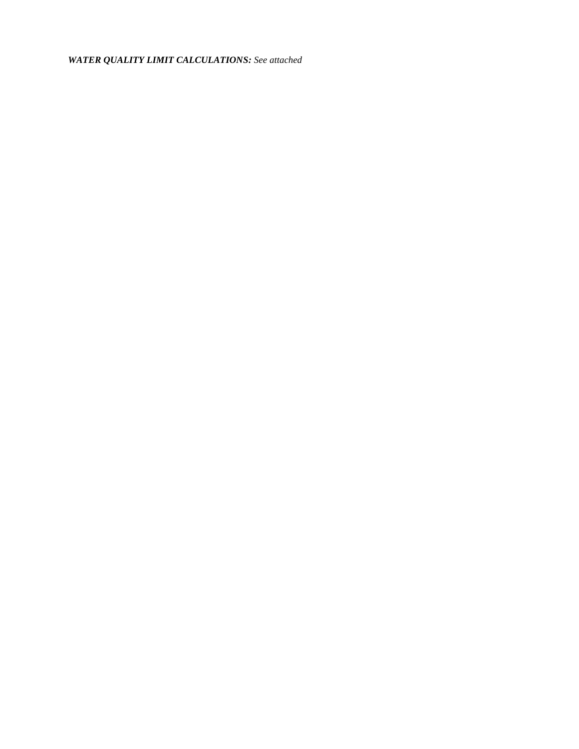*WATER QUALITY LIMIT CALCULATIONS : See attached*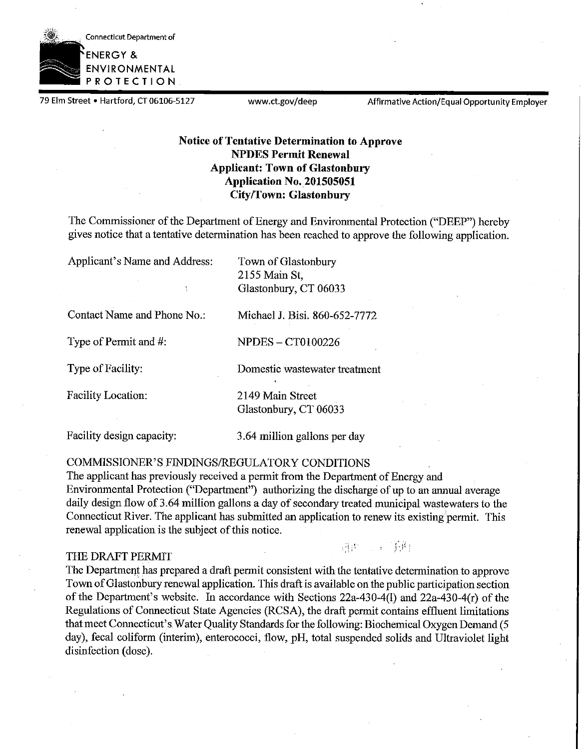

79 Elm Street • Hartford, CT 06106-5127 www.ct.gov/deep Affirmative Action/Equal Opportunity Employer

### **Notice of Tentative Determination to Approve NPDES Permit Renewal Applicant: Town of Glastonbury Application No. 201505051 City/Town: Glastonbury**

The Commissioner of the Department of Energy and Environmental Protection ("DEEP") hereby gives notice that a tentative determination has been reached to approve the following application.

Applicant's Name and Address: Town of Glastonbury 2155 Main St, Glastonbury, CT 06033

Contact Name and Phone No.: Michael J. Bisi. 860-652-7772

Type of Permit and  $\#$ : NPDES - CT0100226

Type of Facility: Domestic wastewater treatment

Facility Location: 2149 Main Street Glastonbury, CT 06033

Facility design capacity: 3.64 million gallons per day

COMMISSIONER'S FINDINGS/REGULATORY CONDITIONS

The applicant has previously received a permit from the Department of Energy and Environmental Protection ("Department") authorizing the discharge of up to an annual average daily design flow of 3.64 million gallons a day of secondary treated municipal wastewaters to the Connecticut River. The applicant has submitted an application to renew its existing'permit. This renewal application is the subject of this notice.

### THE DRAFT PERMIT

明世 一 下角

The Department has prepared a draft permit consistent with the tentative determination to approve Town ofGlastonbury renewal application. This draft is available on the public participation section of the Department's website. In accordance with Sections 22a-430-4(1) and 22a-430-4(r) of the Regulations of Connecticut State Agencies (RCSA), the draft permit contains effluent limitations that meet Connecticut's Water Quality Standards for the following: Biochemical Oxygen Demand (5 day), fecal coliform (interim), enterococci, flow, pH, total suspended solids and Ultraviolet light disinfection (dose).